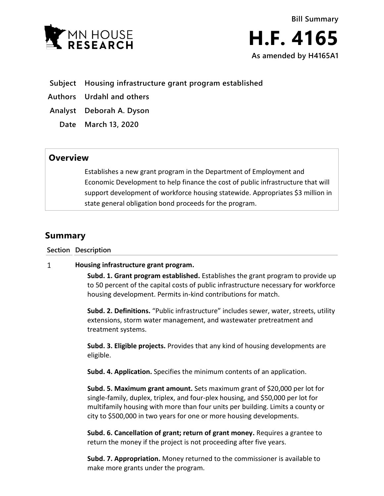



**Subject Housing infrastructure grant program established**

**Authors Urdahl and others**

**Analyst Deborah A. Dyson**

**Date March 13, 2020**

## **Overview**

Establishes a new grant program in the Department of Employment and Economic Development to help finance the cost of public infrastructure that will support development of workforce housing statewide. Appropriates \$3 million in state general obligation bond proceeds for the program.

# **Summary**

**Section Description**

#### $\mathbf{1}$ **Housing infrastructure grant program.**

**Subd. 1. Grant program established.** Establishes the grant program to provide up to 50 percent of the capital costs of public infrastructure necessary for workforce housing development. Permits in-kind contributions for match.

**Subd. 2. Definitions.** "Public infrastructure" includes sewer, water, streets, utility extensions, storm water management, and wastewater pretreatment and treatment systems.

**Subd. 3. Eligible projects.** Provides that any kind of housing developments are eligible.

**Subd. 4. Application.** Specifies the minimum contents of an application.

**Subd. 5. Maximum grant amount.** Sets maximum grant of \$20,000 per lot for single-family, duplex, triplex, and four-plex housing, and \$50,000 per lot for multifamily housing with more than four units per building. Limits a county or city to \$500,000 in two years for one or more housing developments.

**Subd. 6. Cancellation of grant; return of grant money.** Requires a grantee to return the money if the project is not proceeding after five years.

**Subd. 7. Appropriation.** Money returned to the commissioner is available to make more grants under the program.